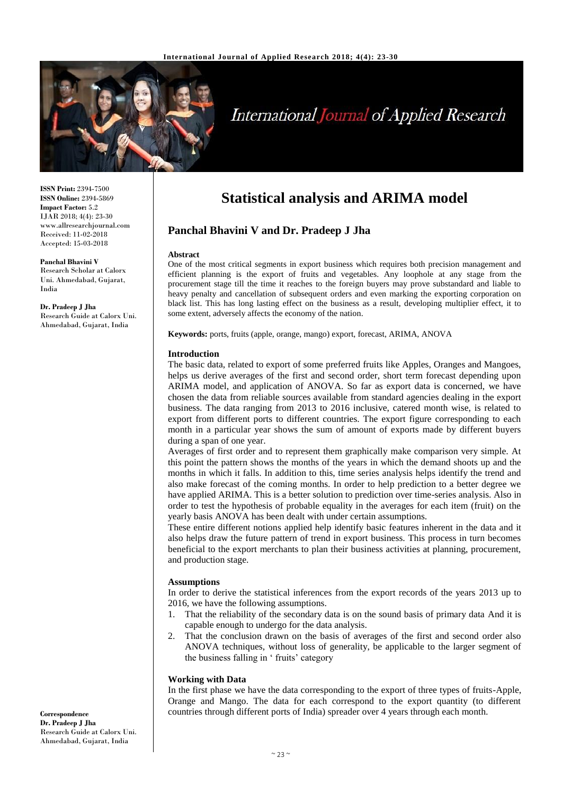

# **International Journal of Applied Research**

**ISSN Print:** 2394-7500 **ISSN Online:** 2394-5869 **Impact Factor:** 5.2 IJAR 2018; 4(4): 23-30 www.allresearchjournal.com Received: 11-02-2018 Accepted: 15-03-2018

**Panchal Bhavini V** Research Scholar at Calorx Uni. Ahmedabad, Gujarat, India

**Dr. Pradeep J Jha** Research Guide at Calorx Uni. Ahmedabad, Gujarat, India

## **Statistical analysis and ARIMA model**

### **Panchal Bhavini V and Dr. Pradeep J Jha**

#### **Abstract**

One of the most critical segments in export business which requires both precision management and efficient planning is the export of fruits and vegetables. Any loophole at any stage from the procurement stage till the time it reaches to the foreign buyers may prove substandard and liable to heavy penalty and cancellation of subsequent orders and even marking the exporting corporation on black list. This has long lasting effect on the business as a result, developing multiplier effect, it to some extent, adversely affects the economy of the nation.

**Keywords:** ports, fruits (apple, orange, mango) export, forecast, ARIMA, ANOVA

#### **Introduction**

The basic data, related to export of some preferred fruits like Apples, Oranges and Mangoes, helps us derive averages of the first and second order, short term forecast depending upon ARIMA model, and application of ANOVA. So far as export data is concerned, we have chosen the data from reliable sources available from standard agencies dealing in the export business. The data ranging from 2013 to 2016 inclusive, catered month wise, is related to export from different ports to different countries. The export figure corresponding to each month in a particular year shows the sum of amount of exports made by different buyers during a span of one year.

Averages of first order and to represent them graphically make comparison very simple. At this point the pattern shows the months of the years in which the demand shoots up and the months in which it falls. In addition to this, time series analysis helps identify the trend and also make forecast of the coming months. In order to help prediction to a better degree we have applied ARIMA. This is a better solution to prediction over time-series analysis. Also in order to test the hypothesis of probable equality in the averages for each item (fruit) on the yearly basis ANOVA has been dealt with under certain assumptions.

These entire different notions applied help identify basic features inherent in the data and it also helps draw the future pattern of trend in export business. This process in turn becomes beneficial to the export merchants to plan their business activities at planning, procurement, and production stage.

#### **Assumptions**

In order to derive the statistical inferences from the export records of the years 2013 up to 2016, we have the following assumptions.

- 1. That the reliability of the secondary data is on the sound basis of primary data And it is capable enough to undergo for the data analysis.
- 2. That the conclusion drawn on the basis of averages of the first and second order also ANOVA techniques, without loss of generality, be applicable to the larger segment of the business falling in ' fruits' category

### **Working with Data**

In the first phase we have the data corresponding to the export of three types of fruits-Apple, Orange and Mango. The data for each correspond to the export quantity (to different countries through different ports of India) spreader over 4 years through each month.

**Correspondence Dr. Pradeep J Jha** Research Guide at Calorx Uni. Ahmedabad, Gujarat, India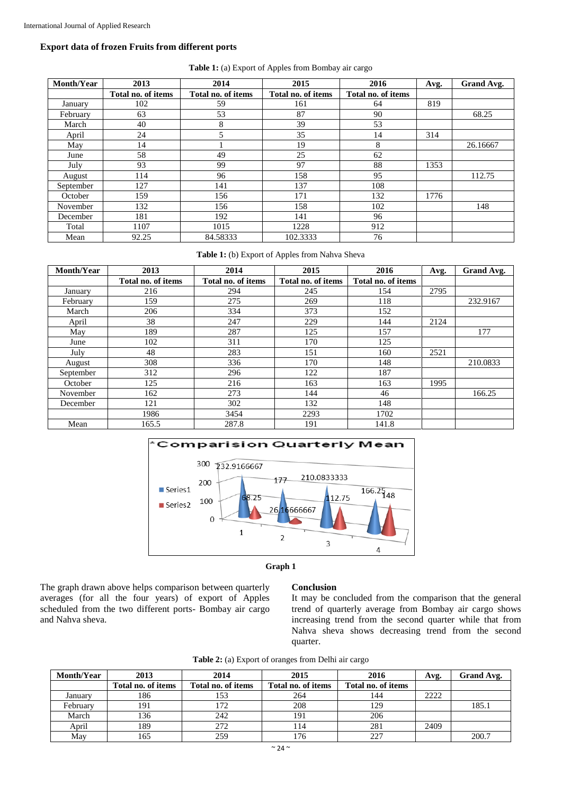### **Export data of frozen Fruits from different ports**

| Month/Year | 2013               | 2014               | 2015               | 2016               | Avg. | Grand Avg. |
|------------|--------------------|--------------------|--------------------|--------------------|------|------------|
|            | Total no. of items | Total no. of items | Total no. of items | Total no. of items |      |            |
| January    | 102                | 59                 | 161                | 64                 | 819  |            |
| February   | 63                 | 53                 | 87                 | 90                 |      | 68.25      |
| March      | 40                 | 8                  | 39                 | 53                 |      |            |
| April      | 24                 | 5                  | 35                 | 14                 | 314  |            |
| May        | 14                 |                    | 19                 | 8                  |      | 26.16667   |
| June       | 58                 | 49                 | 25                 | 62                 |      |            |
| July       | 93                 | 99                 | 97                 | 88                 | 1353 |            |
| August     | 114                | 96                 | 158                | 95                 |      | 112.75     |
| September  | 127                | 141                | 137                | 108                |      |            |
| October    | 159                | 156                | 171                | 132                | 1776 |            |
| November   | 132                | 156                | 158                | 102                |      | 148        |
| December   | 181                | 192                | 141                | 96                 |      |            |
| Total      | 1107               | 1015               | 1228               | 912                |      |            |
| Mean       | 92.25              | 84.58333           | 102.3333           | 76                 |      |            |

**Table 1:** (a) Export of Apples from Bombay air cargo

**Table 1:** (b) Export of Apples from Nahva Sheva

| <b>Month/Year</b> | 2013               | 2014               | 2015               | 2016               | Avg. | Grand Avg. |
|-------------------|--------------------|--------------------|--------------------|--------------------|------|------------|
|                   | Total no. of items | Total no. of items | Total no. of items | Total no. of items |      |            |
| January           | 216                | 294                | 245                | 154                | 2795 |            |
| February          | 159                | 275                | 269                | 118                |      | 232.9167   |
| March             | 206                | 334                | 373                | 152                |      |            |
| April             | 38                 | 247                | 229                | 144                | 2124 |            |
| May               | 189                | 287                | 125                | 157                |      | 177        |
| June              | 102                | 311                | 170                | 125                |      |            |
| July              | 48                 | 283                | 151                | 160                | 2521 |            |
| August            | 308                | 336                | 170                | 148                |      | 210.0833   |
| September         | 312                | 296                | 122                | 187                |      |            |
| October           | 125                | 216                | 163                | 163                | 1995 |            |
| November          | 162                | 273                | 144                | 46                 |      | 166.25     |
| December          | 121                | 302                | 132                | 148                |      |            |
|                   | 1986               | 3454               | 2293               | 1702               |      |            |
| Mean              | 165.5              | 287.8              | 191                | 141.8              |      |            |





The graph drawn above helps comparison between quarterly averages (for all the four years) of export of Apples scheduled from the two different ports- Bombay air cargo and Nahva sheva.

#### **Conclusion**

It may be concluded from the comparison that the general trend of quarterly average from Bombay air cargo shows increasing trend from the second quarter while that from Nahva sheva shows decreasing trend from the second quarter.

**Table 2:** (a) Export of oranges from Delhi air cargo

| <b>Month/Year</b> | 2013               | 2014               | 2015               | 2016               | Avg. | Grand Avg. |
|-------------------|--------------------|--------------------|--------------------|--------------------|------|------------|
|                   | Total no. of items | Total no. of items | Total no. of items | Total no. of items |      |            |
| January           | 186                | 153                | 264                | 144                | 2222 |            |
| February          | 191                | l 72               | 208                | 129                |      | 185.1      |
| March             | 136                | 242                | 191                | 206                |      |            |
| April             | 189                | 272                | 114                | 281                | 2409 |            |
| May               | 165                | 259                | 176                | 227                |      | 200.7      |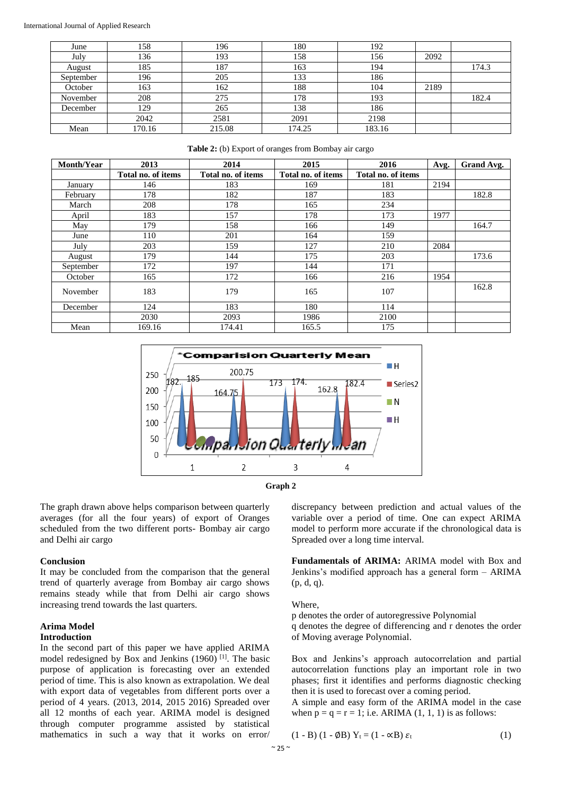#### International Journal of Applied Research

| June      | 158    | 196    | 180    | 192    |      |       |
|-----------|--------|--------|--------|--------|------|-------|
| July      | 136    | 193    | 158    | 156    | 2092 |       |
| August    | 185    | 187    | 163    | 194    |      | 174.3 |
| September | 196    | 205    | 133    | 186    |      |       |
| October   | 163    | 162    | 188    | 104    | 2189 |       |
| November  | 208    | 275    | 178    | 193    |      | 182.4 |
| December  | 129    | 265    | 138    | 186    |      |       |
|           | 2042   | 2581   | 2091   | 2198   |      |       |
| Mean      | 170.16 | 215.08 | 174.25 | 183.16 |      |       |

| <b>Month/Year</b> | 2013               | 2014<br>2015<br>2016                                           |       | Avg. | Grand Avg. |       |
|-------------------|--------------------|----------------------------------------------------------------|-------|------|------------|-------|
|                   | Total no. of items | Total no. of items<br>Total no. of items<br>Total no. of items |       |      |            |       |
| January           | 146                | 183                                                            | 169   | 181  | 2194       |       |
| February          | 178                | 182                                                            | 187   | 183  |            | 182.8 |
| March             | 208                | 178                                                            | 165   | 234  |            |       |
| April             | 183                | 157                                                            | 178   | 173  | 1977       |       |
| May               | 179                | 158                                                            | 166   | 149  |            | 164.7 |
| June              | 110                | 201                                                            | 164   | 159  |            |       |
| July              | 203                | 159                                                            | 127   | 210  | 2084       |       |
| August            | 179                | 144                                                            | 175   | 203  |            | 173.6 |
| September         | 172                | 197                                                            | 144   | 171  |            |       |
| October           | 165                | 172                                                            | 166   | 216  | 1954       |       |
| November          | 183                | 179                                                            | 165   | 107  |            | 162.8 |
| December          | 124                | 183                                                            | 180   | 114  |            |       |
|                   | 2030               | 2093                                                           | 1986  | 2100 |            |       |
| Mean              | 169.16             | 174.41                                                         | 165.5 | 175  |            |       |

**Table 2:** (b) Export of oranges from Bombay air cargo





The graph drawn above helps comparison between quarterly averages (for all the four years) of export of Oranges scheduled from the two different ports- Bombay air cargo and Delhi air cargo

#### **Conclusion**

It may be concluded from the comparison that the general trend of quarterly average from Bombay air cargo shows remains steady while that from Delhi air cargo shows increasing trend towards the last quarters.

#### **Arima Model Introduction**

In the second part of this paper we have applied ARIMA model redesigned by Box and Jenkins (1960) [1]. The basic purpose of application is forecasting over an extended period of time. This is also known as extrapolation. We deal with export data of vegetables from different ports over a period of 4 years. (2013, 2014, 2015 2016) Spreaded over all 12 months of each year. ARIMA model is designed through computer programme assisted by statistical mathematics in such a way that it works on error/ discrepancy between prediction and actual values of the variable over a period of time. One can expect ARIMA model to perform more accurate if the chronological data is Spreaded over a long time interval.

**Fundamentals of ARIMA:** ARIMA model with Box and Jenkins's modified approach has a general form – ARIMA (p, d, q).

Where,

p denotes the order of autoregressive Polynomial q denotes the degree of differencing and r denotes the order of Moving average Polynomial.

Box and Jenkins's approach autocorrelation and partial autocorrelation functions play an important role in two phases; first it identifies and performs diagnostic checking then it is used to forecast over a coming period.

A simple and easy form of the ARIMA model in the case when  $p = q = r = 1$ ; i.e. ARIMA (1, 1, 1) is as follows:

$$
(1 - B) (1 - \emptyset B) Y_t = (1 - \alpha B) \varepsilon_t
$$
 (1)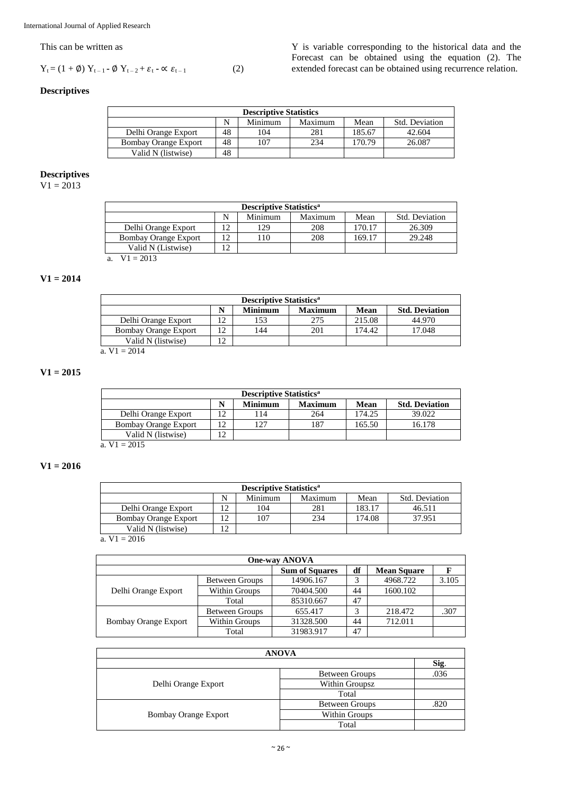### This can be written as

$$
Y_t = (1 + \emptyset) Y_{t-1} - \emptyset Y_{t-2} + \varepsilon_t - \alpha \varepsilon_{t-1}
$$
 (2)

Y is variable corresponding to the historical data and the Forecast can be obtained using the equation (2). The extended forecast can be obtained using recurrence relation.

### **Descriptives**

| <b>Descriptive Statistics</b>                                       |    |     |     |        |        |  |  |  |
|---------------------------------------------------------------------|----|-----|-----|--------|--------|--|--|--|
| Mean<br>Maximum<br>Minimum<br>Std. Deviation                        |    |     |     |        |        |  |  |  |
| Delhi Orange Export                                                 | 48 | 104 | 281 | 185.67 | 42.604 |  |  |  |
| 26.087<br>107<br>48<br>170.79<br>234<br><b>Bombay Orange Export</b> |    |     |     |        |        |  |  |  |
| 48<br>Valid N (listwise)                                            |    |     |     |        |        |  |  |  |

#### **Descriptives**

 $V1 = 2013$ 

| <b>Descriptive Statistics<sup>a</sup></b>    |    |     |     |        |        |  |  |
|----------------------------------------------|----|-----|-----|--------|--------|--|--|
| Minimum<br>Std. Deviation<br>Maximum<br>Mean |    |     |     |        |        |  |  |
| Delhi Orange Export                          | 12 | 129 | 208 | 170.17 | 26.309 |  |  |
| <b>Bombay Orange Export</b>                  | 12 | 110 | 208 | 169.17 | 29.248 |  |  |
| Valid N (Listwise)                           | 12 |     |     |        |        |  |  |
| a. $V1 = 2013$                               |    |     |     |        |        |  |  |

### **V1 = 2014**

| <b>Descriptive Statistics<sup>a</sup></b>                         |            |     |     |        |        |  |  |  |
|-------------------------------------------------------------------|------------|-----|-----|--------|--------|--|--|--|
| <b>Std. Deviation</b><br><b>Minimum</b><br><b>Maximum</b><br>Mean |            |     |     |        |        |  |  |  |
| Delhi Orange Export                                               | 12         | 153 | 275 | 215.08 | 44.970 |  |  |  |
| Bombay Orange Export                                              |            | 144 | 201 | 174.42 | 17.048 |  |  |  |
| Valid N (listwise)                                                | $\sqrt{2}$ |     |     |        |        |  |  |  |
| a. $V1 = 2014$                                                    |            |     |     |        |        |  |  |  |

### **V1 = 2015**

| <b>Descriptive Statistics</b> <sup>a</sup>                        |     |     |        |        |  |  |  |  |
|-------------------------------------------------------------------|-----|-----|--------|--------|--|--|--|--|
| Mean<br><b>Minimum</b><br><b>Std. Deviation</b><br><b>Maximum</b> |     |     |        |        |  |  |  |  |
|                                                                   | 114 | 264 | 174.25 | 39.022 |  |  |  |  |
|                                                                   | 127 | 187 | 165.50 | 16.178 |  |  |  |  |
| Valid N (listwise)                                                |     |     |        |        |  |  |  |  |
|                                                                   |     |     |        |        |  |  |  |  |

a.  $V1 = 2015$ 

### **V1 = 2016**

| <b>Descriptive Statistics<sup>a</sup></b>    |                                      |  |  |  |  |  |  |  |
|----------------------------------------------|--------------------------------------|--|--|--|--|--|--|--|
| Minimum<br>Maximum<br>Std. Deviation<br>Mean |                                      |  |  |  |  |  |  |  |
| Delhi Orange Export                          | 183.17<br>104<br>281<br>12<br>46.511 |  |  |  |  |  |  |  |
| <b>Bombay Orange Export</b>                  | 107<br>174.08<br>234<br>37.951       |  |  |  |  |  |  |  |
| 12<br>Valid N (listwise)                     |                                      |  |  |  |  |  |  |  |

a.  $V1 = 2016$ 

| <b>One-way ANOVA</b>                              |                       |           |    |          |       |  |  |  |  |  |  |
|---------------------------------------------------|-----------------------|-----------|----|----------|-------|--|--|--|--|--|--|
| <b>Sum of Squares</b><br>df<br><b>Mean Square</b> |                       |           |    |          |       |  |  |  |  |  |  |
|                                                   | <b>Between Groups</b> | 14906.167 |    | 4968.722 | 3.105 |  |  |  |  |  |  |
| Delhi Orange Export                               | Within Groups         | 70404.500 | 44 | 1600.102 |       |  |  |  |  |  |  |
|                                                   | Total                 | 85310.667 | 47 |          |       |  |  |  |  |  |  |
|                                                   | <b>Between Groups</b> | 655.417   |    | 218.472  | .307  |  |  |  |  |  |  |
| <b>Bombay Orange Export</b>                       | Within Groups         | 31328.500 | 44 | 712.011  |       |  |  |  |  |  |  |
|                                                   | Total                 | 31983.917 | 47 |          |       |  |  |  |  |  |  |

| <b>ANOVA</b>                |                       |      |  |  |  |  |  |
|-----------------------------|-----------------------|------|--|--|--|--|--|
|                             |                       | Sig. |  |  |  |  |  |
|                             | <b>Between Groups</b> | .036 |  |  |  |  |  |
| Delhi Orange Export         | Within Groupsz        |      |  |  |  |  |  |
|                             | Total                 |      |  |  |  |  |  |
|                             | Between Groups        | .820 |  |  |  |  |  |
| <b>Bombay Orange Export</b> | Within Groups         |      |  |  |  |  |  |
|                             | Total                 |      |  |  |  |  |  |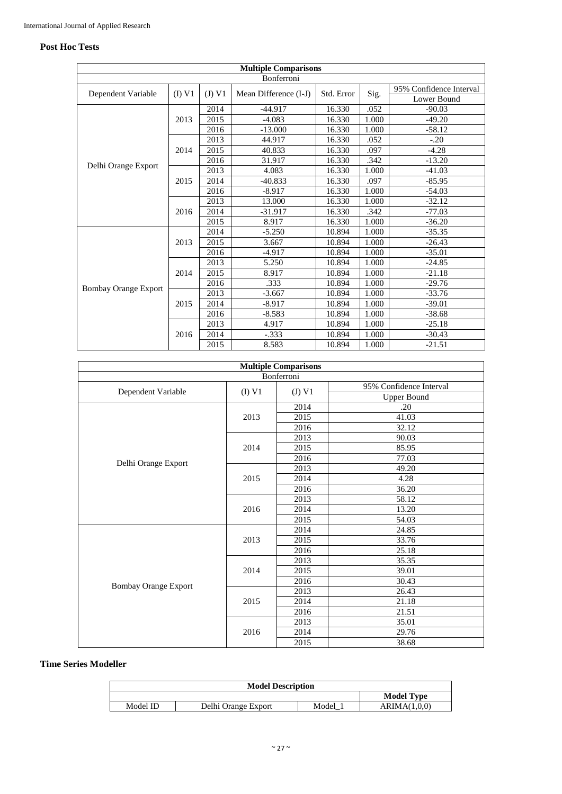### **Post Hoc Tests**

| <b>Multiple Comparisons</b> |            |        |                       |            |       |                         |  |  |  |  |
|-----------------------------|------------|--------|-----------------------|------------|-------|-------------------------|--|--|--|--|
|                             | Bonferroni |        |                       |            |       |                         |  |  |  |  |
|                             |            |        |                       | Std. Error |       | 95% Confidence Interval |  |  |  |  |
| Dependent Variable          | (I) VI     | (J) V1 | Mean Difference (I-J) |            | Sig.  | Lower Bound             |  |  |  |  |
|                             |            | 2014   | $-44.917$             | 16.330     | .052  | $-90.03$                |  |  |  |  |
|                             | 2013       | 2015   | $-4.083$              | 16.330     | 1.000 | $-49.20$                |  |  |  |  |
|                             |            | 2016   | $-13.000$             | 16.330     | 1.000 | $-58.12$                |  |  |  |  |
|                             |            | 2013   | 44.917                | 16.330     | .052  | $-.20$                  |  |  |  |  |
|                             | 2014       | 2015   | 40.833                | 16.330     | .097  | $-4.28$                 |  |  |  |  |
|                             |            | 2016   | 31.917                | 16.330     | .342  | $-13.20$                |  |  |  |  |
| Delhi Orange Export         |            | 2013   | 4.083                 | 16.330     | 1.000 | $-41.03$                |  |  |  |  |
|                             | 2015       | 2014   | $-40.833$             | 16.330     | .097  | $-85.95$                |  |  |  |  |
|                             |            | 2016   | $-8.917$              | 16.330     | 1.000 | $-54.03$                |  |  |  |  |
|                             |            | 2013   | 13.000                | 16.330     | 1.000 | $-32.12$                |  |  |  |  |
|                             | 2016       | 2014   | $-31.917$             | 16.330     | .342  | $-77.03$                |  |  |  |  |
|                             |            | 2015   | 8.917                 | 16.330     | 1.000 | $-36.20$                |  |  |  |  |
|                             |            | 2014   | $-5.250$              | 10.894     | 1.000 | $-35.35$                |  |  |  |  |
|                             | 2013       | 2015   | 3.667                 | 10.894     | 1.000 | $-26.43$                |  |  |  |  |
|                             |            | 2016   | $-4.917$              | 10.894     | 1.000 | $-35.01$                |  |  |  |  |
|                             |            | 2013   | 5.250                 | 10.894     | 1.000 | $-24.85$                |  |  |  |  |
|                             | 2014       | 2015   | 8.917                 | 10.894     | 1.000 | $-21.18$                |  |  |  |  |
|                             |            | 2016   | .333                  | 10.894     | 1.000 | $-29.76$                |  |  |  |  |
| <b>Bombay Orange Export</b> |            | 2013   | $-3.667$              | 10.894     | 1.000 | $-33.76$                |  |  |  |  |
|                             | 2015       | 2014   | $-8.917$              | 10.894     | 1.000 | $-39.01$                |  |  |  |  |
|                             |            | 2016   | $-8.583$              | 10.894     | 1.000 | $-38.68$                |  |  |  |  |
|                             |            | 2013   | 4.917                 | 10.894     | 1.000 | $-25.18$                |  |  |  |  |
|                             | 2016       | 2014   | $-.333$               | 10.894     | 1.000 | $-30.43$                |  |  |  |  |
|                             |            | 2015   | 8.583                 | 10.894     | 1.000 | $-21.51$                |  |  |  |  |

| <b>Multiple Comparisons</b> |          |          |                         |  |  |  |  |  |  |
|-----------------------------|----------|----------|-------------------------|--|--|--|--|--|--|
| Bonferroni                  |          |          |                         |  |  |  |  |  |  |
|                             |          |          | 95% Confidence Interval |  |  |  |  |  |  |
| Dependent Variable          | $(I)$ V1 | $(J)$ V1 | <b>Upper Bound</b>      |  |  |  |  |  |  |
|                             |          | 2014     | .20                     |  |  |  |  |  |  |
|                             | 2013     | 2015     | 41.03                   |  |  |  |  |  |  |
|                             |          | 2016     | 32.12                   |  |  |  |  |  |  |
|                             |          | 2013     | 90.03                   |  |  |  |  |  |  |
|                             | 2014     | 2015     | 85.95                   |  |  |  |  |  |  |
|                             |          | 2016     | 77.03                   |  |  |  |  |  |  |
| Delhi Orange Export         |          | 2013     | 49.20                   |  |  |  |  |  |  |
|                             | 2015     | 2014     | 4.28                    |  |  |  |  |  |  |
|                             |          | 2016     | 36.20                   |  |  |  |  |  |  |
|                             |          | 2013     | 58.12                   |  |  |  |  |  |  |
|                             | 2016     | 2014     | 13.20                   |  |  |  |  |  |  |
|                             |          | 2015     | 54.03                   |  |  |  |  |  |  |
|                             |          | 2014     | 24.85                   |  |  |  |  |  |  |
|                             | 2013     | 2015     | 33.76                   |  |  |  |  |  |  |
|                             |          | 2016     | 25.18                   |  |  |  |  |  |  |
|                             |          | 2013     | 35.35                   |  |  |  |  |  |  |
|                             | 2014     | 2015     | 39.01                   |  |  |  |  |  |  |
| <b>Bombay Orange Export</b> |          | 2016     | 30.43                   |  |  |  |  |  |  |
|                             |          | 2013     | 26.43                   |  |  |  |  |  |  |
|                             | 2015     | 2014     | 21.18                   |  |  |  |  |  |  |
|                             |          | 2016     | 21.51                   |  |  |  |  |  |  |
|                             |          | 2013     | 35.01                   |  |  |  |  |  |  |
|                             | 2016     | 2014     | 29.76                   |  |  |  |  |  |  |
|                             |          | 2015     | 38.68                   |  |  |  |  |  |  |

### **Time Series Modeller**

| <b>Model Description</b> |                     |       |                   |  |  |  |  |
|--------------------------|---------------------|-------|-------------------|--|--|--|--|
|                          |                     |       | <b>Model Type</b> |  |  |  |  |
| Model ID                 | Delhi Orange Export | Model | ARIMA(1.0.0)      |  |  |  |  |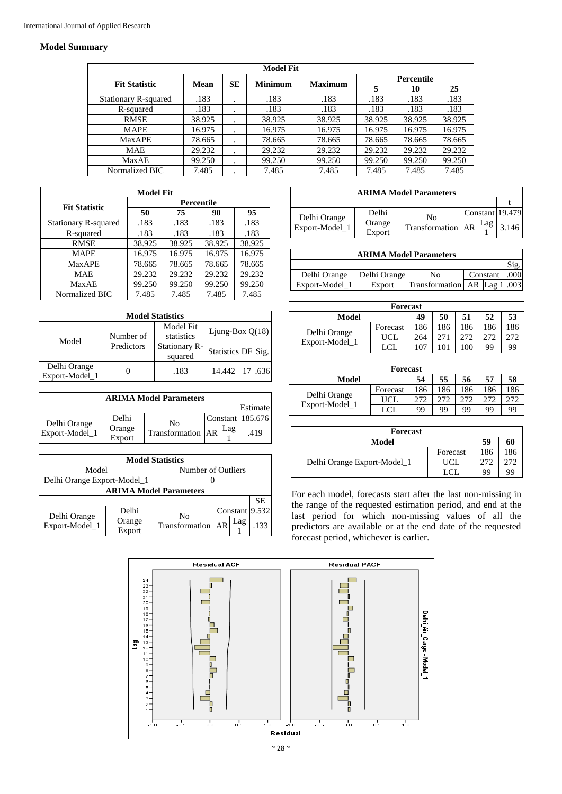### **Model Summary**

| <b>Model Fit</b>            |        |         |                |                |        |                   |        |  |  |  |
|-----------------------------|--------|---------|----------------|----------------|--------|-------------------|--------|--|--|--|
|                             | Mean   | SЕ      | <b>Minimum</b> | <b>Maximum</b> |        | <b>Percentile</b> |        |  |  |  |
| <b>Fit Statistic</b>        |        |         |                |                |        | 10                | 25     |  |  |  |
| <b>Stationary R-squared</b> | .183   | $\cdot$ | .183           | .183           | .183   | .183              | .183   |  |  |  |
| R-squared                   | .183   | $\cdot$ | .183           | .183           | .183   | .183              | .183   |  |  |  |
| <b>RMSE</b>                 | 38.925 | $\cdot$ | 38.925         | 38.925         | 38.925 | 38.925            | 38.925 |  |  |  |
| <b>MAPE</b>                 | 16.975 | $\cdot$ | 16.975         | 16.975         | 16.975 | 16.975            | 16.975 |  |  |  |
| <b>MaxAPE</b>               | 78.665 | $\cdot$ | 78.665         | 78.665         | 78.665 | 78.665            | 78.665 |  |  |  |
| <b>MAE</b>                  | 29.232 | $\cdot$ | 29.232         | 29.232         | 29.232 | 29.232            | 29.232 |  |  |  |
| MaxAE                       | 99.250 | $\cdot$ | 99.250         | 99.250         | 99.250 | 99.250            | 99.250 |  |  |  |
| Normalized BIC              | 7.485  | ٠       | 7.485          | 7.485          | 7.485  | 7.485             | 7.485  |  |  |  |

| <b>Model Fit</b>            |        |            |        |        |  |  |  |  |  |
|-----------------------------|--------|------------|--------|--------|--|--|--|--|--|
| <b>Fit Statistic</b>        |        | Percentile |        |        |  |  |  |  |  |
|                             | 50     | 75         | 90     | 95     |  |  |  |  |  |
| <b>Stationary R-squared</b> | .183   | .183       | .183   | .183   |  |  |  |  |  |
| R-squared                   | .183   | .183       | .183   | .183   |  |  |  |  |  |
| <b>RMSE</b>                 | 38.925 | 38.925     | 38.925 | 38.925 |  |  |  |  |  |
| <b>MAPE</b>                 | 16.975 | 16.975     | 16.975 | 16.975 |  |  |  |  |  |
| <b>MaxAPE</b>               | 78.665 | 78.665     | 78.665 | 78.665 |  |  |  |  |  |
| <b>MAE</b>                  | 29.232 | 29.232     | 29.232 | 29.232 |  |  |  |  |  |
| MaxAE                       | 99.250 | 99.250     | 99.250 | 99.250 |  |  |  |  |  |
| Normalized BIC              | 7.485  | 7.485      | 7.485  | 7.485  |  |  |  |  |  |

| <b>Model Statistics</b>        |            |                          |                    |  |      |  |  |  |  |
|--------------------------------|------------|--------------------------|--------------------|--|------|--|--|--|--|
| Model                          | Number of  | Model Fit<br>statistics  | Ljung-Box Q(18)    |  |      |  |  |  |  |
|                                | Predictors | Stationary R-<br>squared | Statistics DF Sig. |  |      |  |  |  |  |
| Delhi Orange<br>Export-Model 1 |            | .183                     | 14.442             |  | .636 |  |  |  |  |

| <b>ARIMA Model Parameters</b>  |                  |                     |  |     |                    |  |  |  |  |  |
|--------------------------------|------------------|---------------------|--|-----|--------------------|--|--|--|--|--|
|                                |                  |                     |  |     | Estimate           |  |  |  |  |  |
|                                | Delhi            | No                  |  |     | Constant   185.676 |  |  |  |  |  |
| Delhi Orange<br>Export-Model 1 | Orange<br>Export | Transformation   AR |  | Lag | .419               |  |  |  |  |  |

|                                |                  | <b>Model Statistics</b> |    |     |                |  |
|--------------------------------|------------------|-------------------------|----|-----|----------------|--|
| Model                          |                  | Number of Outliers      |    |     |                |  |
| Delhi Orange Export-Model_1    |                  |                         |    |     |                |  |
| <b>ARIMA Model Parameters</b>  |                  |                         |    |     |                |  |
|                                |                  |                         |    |     | SE.            |  |
|                                | Delhi            | No                      |    |     | Constant 9.532 |  |
| Delhi Orange<br>Export-Model_1 | Orange<br>Export | Transformation          | AR | Lag | .133           |  |

| <b>ARIMA Model Parameters</b>  |                  |                   |  |     |                 |  |  |  |  |  |
|--------------------------------|------------------|-------------------|--|-----|-----------------|--|--|--|--|--|
|                                |                  |                   |  |     |                 |  |  |  |  |  |
|                                | Delhi            | N٥                |  |     | Constant 19.479 |  |  |  |  |  |
| Delhi Orange<br>Export-Model_1 | Orange<br>Export | Transformation AR |  | Lag | 3.146           |  |  |  |  |  |

| <b>ARIMA Model Parameters</b> |              |                                   |  |          |  |  |  |  |  |
|-------------------------------|--------------|-----------------------------------|--|----------|--|--|--|--|--|
|                               |              |                                   |  |          |  |  |  |  |  |
| Delhi Orange                  | Delhi Orange | No                                |  | Constant |  |  |  |  |  |
| Export-Model_1                | Export       | Transformation   AR   Lag 1   003 |  |          |  |  |  |  |  |

| <b>Forecast</b>                |            |     |     |     |     |     |  |  |  |  |
|--------------------------------|------------|-----|-----|-----|-----|-----|--|--|--|--|
| Model                          |            | 49  | 50  | 51  | 52  | 53  |  |  |  |  |
| Delhi Orange<br>Export-Model_1 | Forecast   | 186 | 186 | 186 | 186 | 186 |  |  |  |  |
|                                | <b>UCL</b> | 264 | 271 |     | 272 | 272 |  |  |  |  |
|                                | LCI        | 107 |     | 100 | 99  | 99  |  |  |  |  |

| Forecast       |          |     |     |     |     |     |  |  |  |  |
|----------------|----------|-----|-----|-----|-----|-----|--|--|--|--|
| Model          |          | 54  | 55  | 56  | 57  | 58  |  |  |  |  |
| Delhi Orange   | Forecast | 186 | 186 | 186 | 186 | 186 |  |  |  |  |
|                | UCL      | 272 | 272 |     | 272 |     |  |  |  |  |
| Export-Model_1 | LCL.     | 99  | 99  | 99  | 99  | 99  |  |  |  |  |

| <b>Forecast</b>             |          |     |     |  |  |  |
|-----------------------------|----------|-----|-----|--|--|--|
| Model                       |          | 59  | 60  |  |  |  |
| Delhi Orange Export-Model_1 | Forecast | 186 | 186 |  |  |  |
|                             | UCL      |     |     |  |  |  |
|                             |          | 99  | 99  |  |  |  |

For each model, forecasts start after the last non-missing in the range of the requested estimation period, and end at the last period for which non-missing values of all the predictors are available or at the end date of the requested forecast period, whichever is earlier.

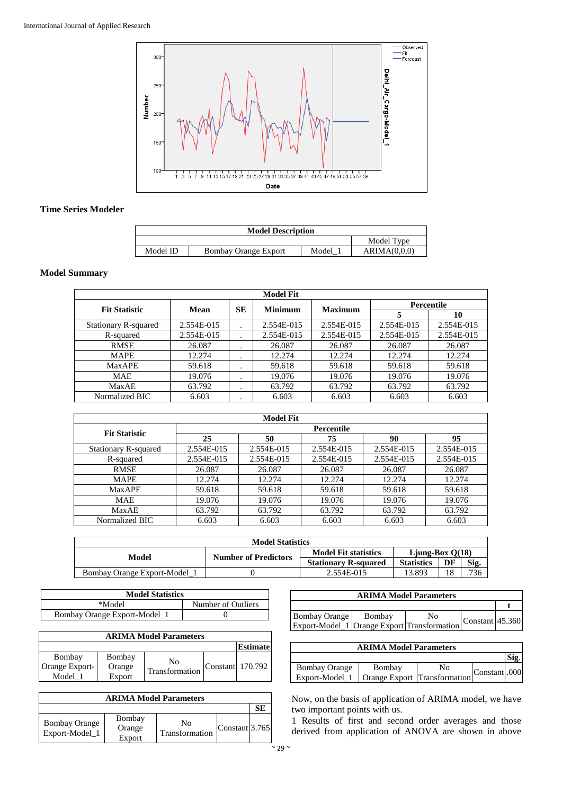

### **Time Series Modeler**

| <b>Model Description</b> |                             |       |              |  |  |
|--------------------------|-----------------------------|-------|--------------|--|--|
| Model Type               |                             |       |              |  |  |
| Model ID                 | <b>Bombay Orange Export</b> | Model | ARIMA(0,0,0) |  |  |

### **Model Summary**

| <b>Model Fit</b>            |            |           |                                  |            |            |                   |
|-----------------------------|------------|-----------|----------------------------------|------------|------------|-------------------|
| <b>Fit Statistic</b>        |            |           | <b>Minimum</b><br><b>Maximum</b> |            |            | <b>Percentile</b> |
|                             | Mean       | SЕ        |                                  |            |            | 10                |
| <b>Stationary R-squared</b> | 2.554E-015 | $\cdot$   | 2.554E-015                       | 2.554E-015 | 2.554E-015 | 2.554E-015        |
| R-squared                   | 2.554E-015 |           | 2.554E-015                       | 2.554E-015 | 2.554E-015 | 2.554E-015        |
| <b>RMSE</b>                 | 26.087     | $\cdot$   | 26.087                           | 26.087     | 26.087     | 26.087            |
| <b>MAPE</b>                 | 12.274     | $\cdot$   | 12.274                           | 12.274     | 12.274     | 12.274            |
| <b>Max APE</b>              | 59.618     | $\bullet$ | 59.618                           | 59.618     | 59.618     | 59.618            |
| <b>MAE</b>                  | 19.076     | $\cdot$   | 19.076                           | 19.076     | 19.076     | 19.076            |
| MaxAE                       | 63.792     | $\bullet$ | 63.792                           | 63.792     | 63.792     | 63.792            |
| Normalized BIC              | 6.603      |           | 6.603                            | 6.603      | 6.603      | 6.603             |

|                             |            | <b>Model Fit</b> |            |            |            |
|-----------------------------|------------|------------------|------------|------------|------------|
| <b>Fit Statistic</b>        |            |                  | Percentile |            |            |
|                             | 25         | 50               | 75         | 90         | 95         |
| <b>Stationary R-squared</b> | 2.554E-015 | 2.554E-015       | 2.554E-015 | 2.554E-015 | 2.554E-015 |
| R-squared                   | 2.554E-015 | 2.554E-015       | 2.554E-015 | 2.554E-015 | 2.554E-015 |
| <b>RMSE</b>                 | 26.087     | 26.087           | 26.087     | 26.087     | 26.087     |
| <b>MAPE</b>                 | 12.274     | 12.274           | 12.274     | 12.274     | 12.274     |
| <b>Max APE</b>              | 59.618     | 59.618           | 59.618     | 59.618     | 59.618     |
| <b>MAE</b>                  | 19.076     | 19.076           | 19.076     | 19.076     | 19.076     |
| MaxAE                       | 63.792     | 63.792           | 63.792     | 63.792     | 63.792     |
| Normalized BIC              | 6.603      | 6.603            | 6.603      | 6.603      | 6.603      |
|                             |            |                  |            |            |            |

| <b>Model Statistics</b>              |                             |                             |                   |      |      |  |  |
|--------------------------------------|-----------------------------|-----------------------------|-------------------|------|------|--|--|
|                                      |                             | <b>Model Fit statistics</b> | Liung-Box $O(18)$ |      |      |  |  |
| <b>Number of Predictors</b><br>Model | <b>Stationary R-squared</b> | <b>Statistics</b>           | DF                | Sig. |      |  |  |
| Bombay Orange Export-Model 1         |                             | 2.554E-015                  | 13.893            | 18   | .736 |  |  |

| <b>Model Statistics</b>      |                    |
|------------------------------|--------------------|
| *Model                       | Number of Outliers |
| Bombay Orange Export-Model_1 |                    |

| <b>ARIMA Model Parameters</b> |        |                      |  |                  |  |  |
|-------------------------------|--------|----------------------|--|------------------|--|--|
|                               |        |                      |  | <b>Estimate</b>  |  |  |
| Bombay                        | Bombay |                      |  |                  |  |  |
| Orange Export-                | Orange | No<br>Transformation |  | Constant 170.792 |  |  |
| Model                         | Export |                      |  |                  |  |  |

| <b>ARIMA Model Parameters</b>          |                            |                      |                |  |  |  |  |
|----------------------------------------|----------------------------|----------------------|----------------|--|--|--|--|
|                                        |                            |                      |                |  |  |  |  |
| <b>Bombay Orange</b><br>Export-Model_1 | Bombay<br>Orange<br>Export | No<br>Transformation | Constant 3.765 |  |  |  |  |

| <b>ARIMA Model Parameters</b>               |        |    |                     |  |  |  |
|---------------------------------------------|--------|----|---------------------|--|--|--|
|                                             |        |    |                     |  |  |  |
| <b>Bombay Orange</b>                        | Bombay | No | Constant $ 45.360 $ |  |  |  |
| Export-Model_1 Orange Export Transformation |        |    |                     |  |  |  |

| <b>ARIMA Model Parameters</b> |                              |    |              |  |  |  |
|-------------------------------|------------------------------|----|--------------|--|--|--|
|                               |                              |    |              |  |  |  |
| <b>Bombay Orange</b>          | Bombay                       | No | Constant 000 |  |  |  |
| Export-Model_1 '              | Orange Export Transformation |    |              |  |  |  |

Now, on the basis of application of ARIMA model, we have two important points with us.

1 Results of first and second order averages and those derived from application of ANOVA are shown in above